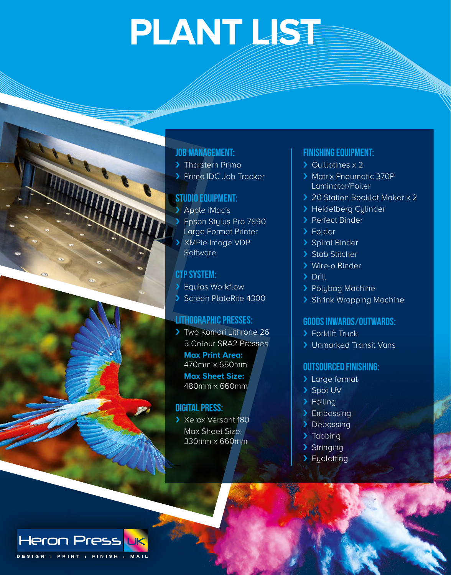# **PLANT LIST**

# **Job Management:**

- > Tharstern Primo
- › Primo IDC Job Tracker

# **Studio Equipment:**

- › Apple iMac's
- > Epson Stylus Pro 7890
- Large Format Printer › XMPie Image VDP **Software**

# **CTP System:**

> Equios Workflow › Screen PlateRite 4300

# **Lithographic Presses:**

› Two Komori Lithrone 26 5 Colour SRA2 Presses **Max Print Area:**  470mm x 650mm **Max Sheet Size:**  480mm x 660mm

# **Digital Press:**

› Xerox Versant 180 Max Sheet Size: 330mm x 660mm

# **Finishing Equipment:**

- > Guillotines x 2
- › Matrix Pneumatic 370P Laminator/Foiler
- ▶ 20 Station Booklet Maker x 2
- > Heidelberg Cylinder
- > Perfect Binder
- › Folder
- › Spiral Binder
- > Stab Stitcher
- › Wire-o Binder
- › Drill
- > Polybag Machine
- › Shrink Wrapping Machine

#### **Goods Inwards/Outwards:**

- > Forklift Truck
- › Unmarked Transit Vans

#### **Outsourced Finishing:**

- > Large format
- > Spot UV
- > Foiling
- > Embossing
- > Debossing
- > Tabbing
- > Stringing
- › Eyeletting